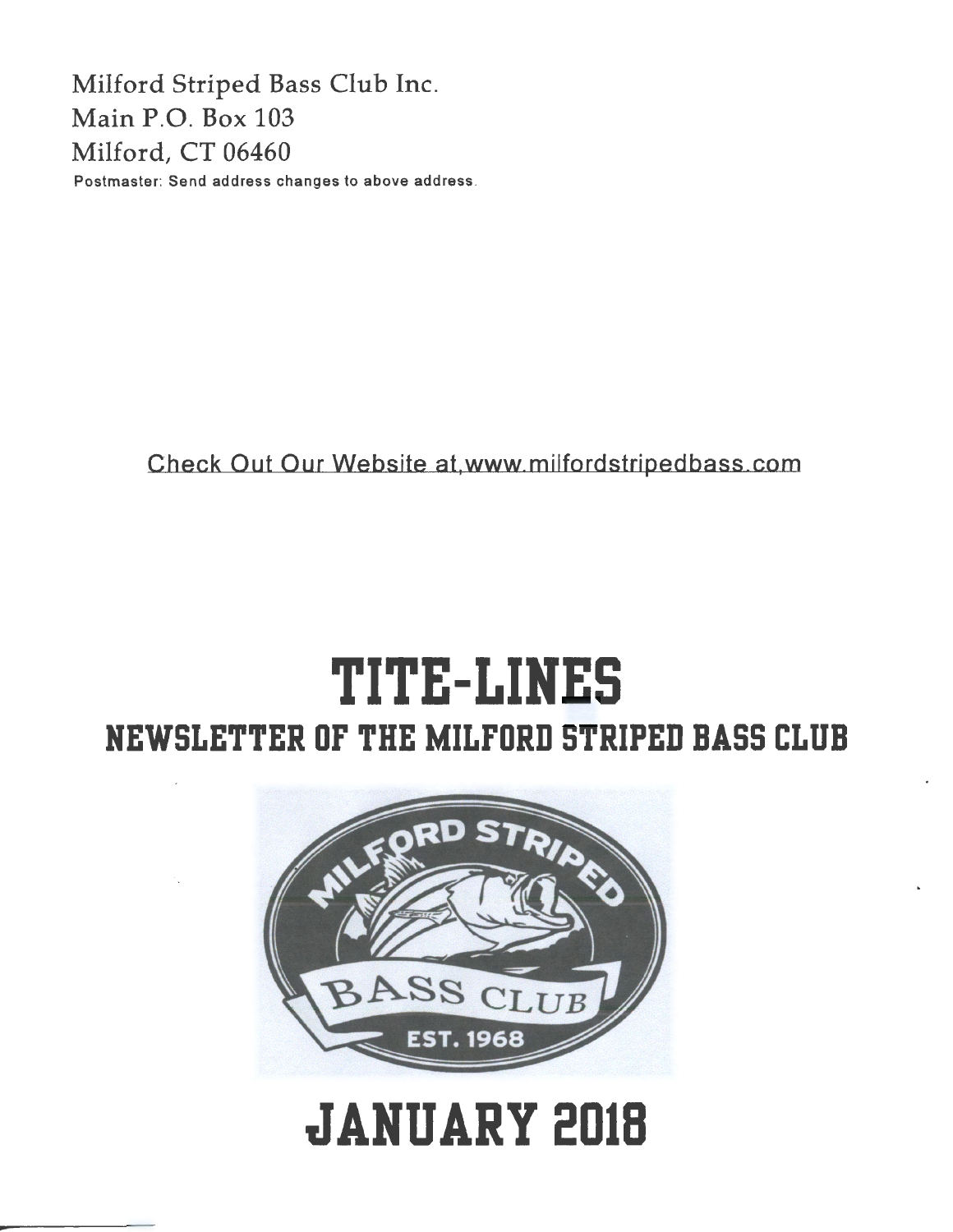Milford Striped Bass Club Inc. Main P.O. Box 103 Milford, CT 06460 Postmaster: Send address changes to above address .

## Check Out Our Website at,www milfordstripedbass com

# **TITE-LINES NEWSLETTER OF THE MILFORD STRIPED BASS CLUB**



# **JANUARY 2018**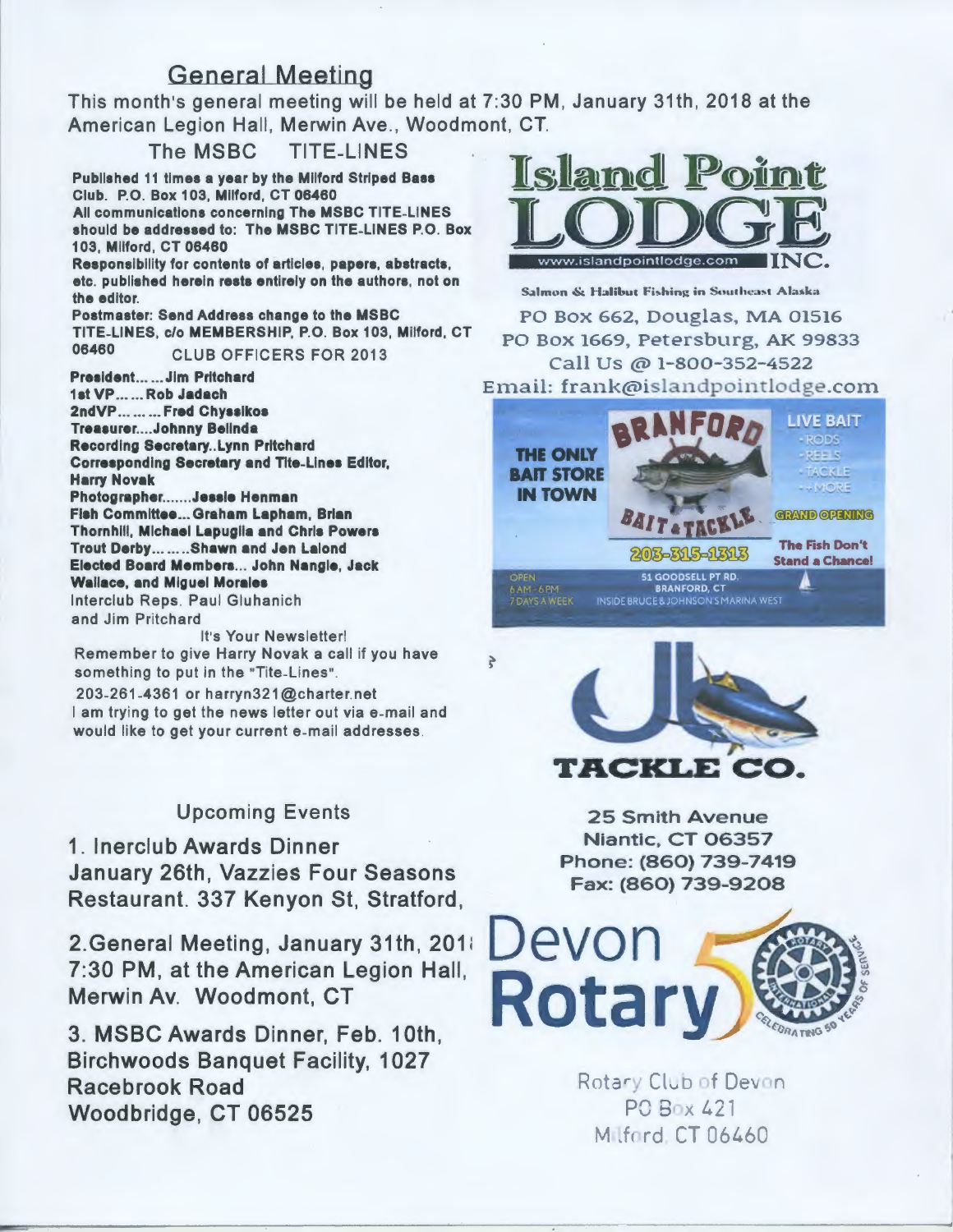### General Meeting

This month's general meeting will be held at 7:30 PM, January 31th, 2018 at the American Legion Hall, Merwin Ave ., Woodmont, CT.

#### The MSBC TITE-LINES Island Point Published 11 times a year by the Milford Striped Baas LODGE<br>WWW.islandpointlodge.com Club. P.O. Box 103, Milford, CT 06460 All communications concerning The MSBC TITE-LINES should be addressed to: The MSBC TITE-LINES P.O. Box 103, Milford, CT 06460 www.islandpointlodge.com Responsibility for contents of articles, papers, abstracts, etc. published herein rests entirely on the authors, not on Salmon & Halibut Fishing in Southeast Alaska the editor. Postmaster: Send Address change to the MSBC PO Box 662, Douglas, MA 01516 TITE-LINES, c/o MEMBERSHIP, P.O. Box 103, Milford, CT PO Box 1669, Petersburg, AK 99833 06460 CLUB OFFICERS FOR 2013 call Us @ 1-800-352-4522 President.. .... Jim Pritchard E1nail: frank@is ~~~-- 1st VP ...... Rob Jadach 2ndVP ......... Fred Chysslkos Treasurer....Johnny Belinda RODS: Recording Secretary..Lynn Pritchard **THE ONLY**  $= 8$ Corresponding Secretary and Tlte-Lines Editor, okle **BAIT STORE** Harry Novak IN **TOWN**  Photographer.......Jessie Henman Fish Committee ... Graham Lapham, Brian

Thornhill, Michael Lepuglla and Chris Powers Trout Derby ........ Shawn and Jen Lalond Elected Board Members ... John Nangle, Jack Wallace, and Miguel Morales

lnterclub Reps. Paul Gluhanich and Jim Pritchard

It's Your Newsletter! Remember to give Harry Novak a call if you have something to put in the "Tite-Lines".

203-261-4361 or harryn321 @charter. net I am trying to get the news letter out via e-mail and would like to get your current e-mail addresses

#### Upcoming Events

1. lnerclub Awards Dinner January 26th, Vazzies Four Seasons Restaurant. 337 Kenyon St, Stratford,

2. General Meeting, January 31th, 201 7:30 PM, at the American Legion Hall, Merwin Av. Woodmont, CT

3. MSBC Awards Dinner, Feb. 1Oth, Birchwoods Banquet Facility, 1027 Racebrook Road Woodbridge, CT 06525

-----------~------- <sup>~</sup>----·-





25 Smith Avenue Niantic, CT 06357 Phone: (860) 739-7419 Fax: (860) 739-9208



Rotary PO Box 421 M Ford CT 06460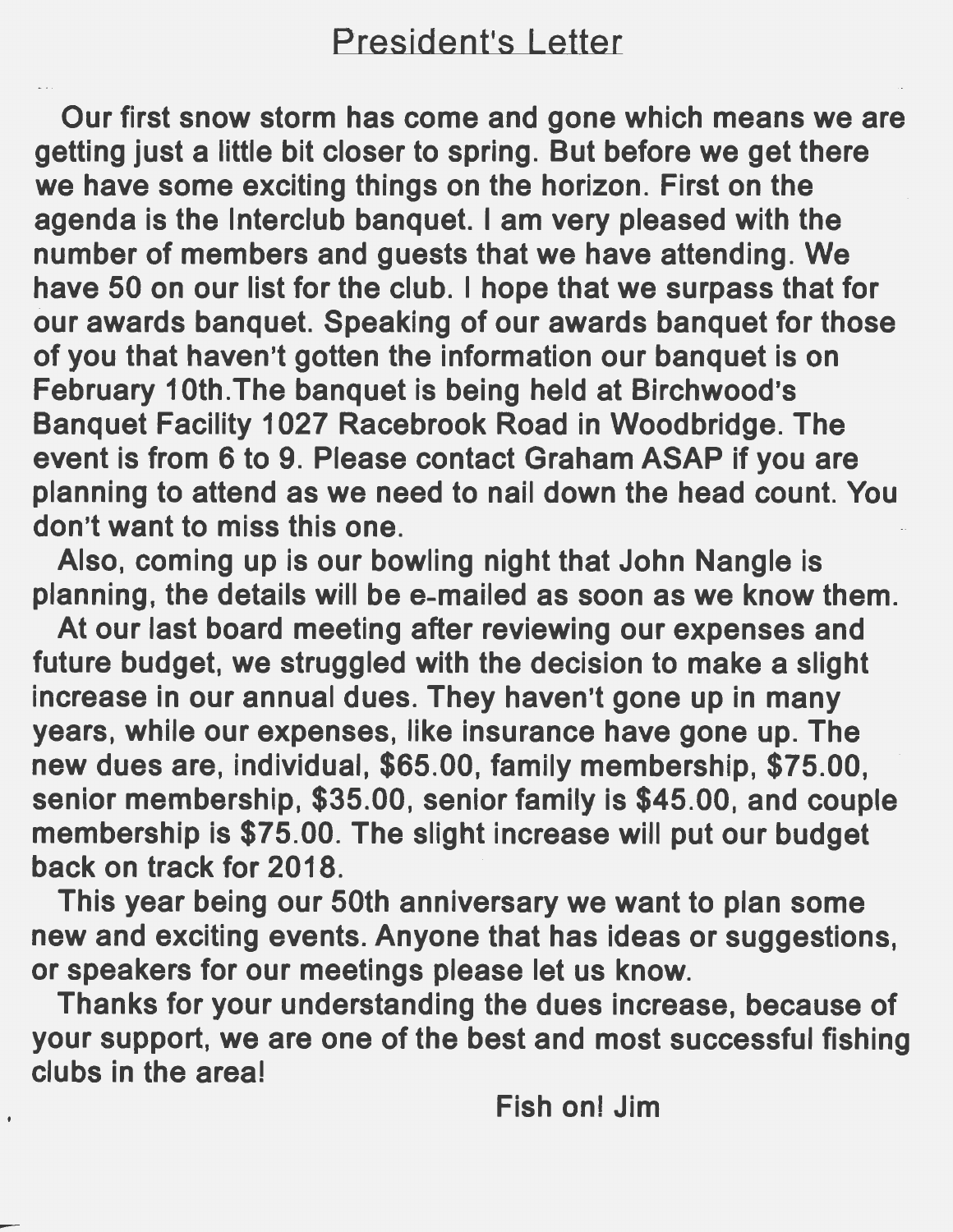## President's Letter

Our first snow storm has come and gone which means we are getting just a little bit closer to spring. But before we get there we have some exciting things on the horizon. First on the agenda is the lnterclub banquet. I am very pleased with the number of members and guests that we have attending. We have 50 on our list for the club. I hope that we surpass that for our awards banquet. Speaking of our awards banquet for those of you that haven't gotten the information our banquet is on February 1 Oth.The banquet is being held at Birchwood's Banquet Facility 1027 Racebrook Road in Woodbridge. The event is from 6 to 9. Please contact Graham ASAP if you are planning to attend as we need to nail down the head count. You don't want to miss this one.

Also. coming up is our bowling night that John Nangle is planning, the details will be e-mailed as soon as we know them.

At our last board meeting after reviewing our expenses and future budget, we struggled with the decision to make a slight increase in our annual dues. They haven't gone up in many years, while our expenses, like insurance have gone up. The new dues are, individual, \$65.00, family membership, \$75.00, senior membership, \$35.00, senior family is \$45.00, and couple membership is \$75.00. The slight increase will put our budget back on track for 2018.

This year being our 50th anniversary we want to plan some new and exciting events. Anyone that has ideas or suggestions, or speakers for our meetings please let us know.

Thanks for your understanding the dues increase, because of your support, we are one of the best and most successful fishing clubs in the areal

- -------- -

 $\bullet$ 

Fish onl Jim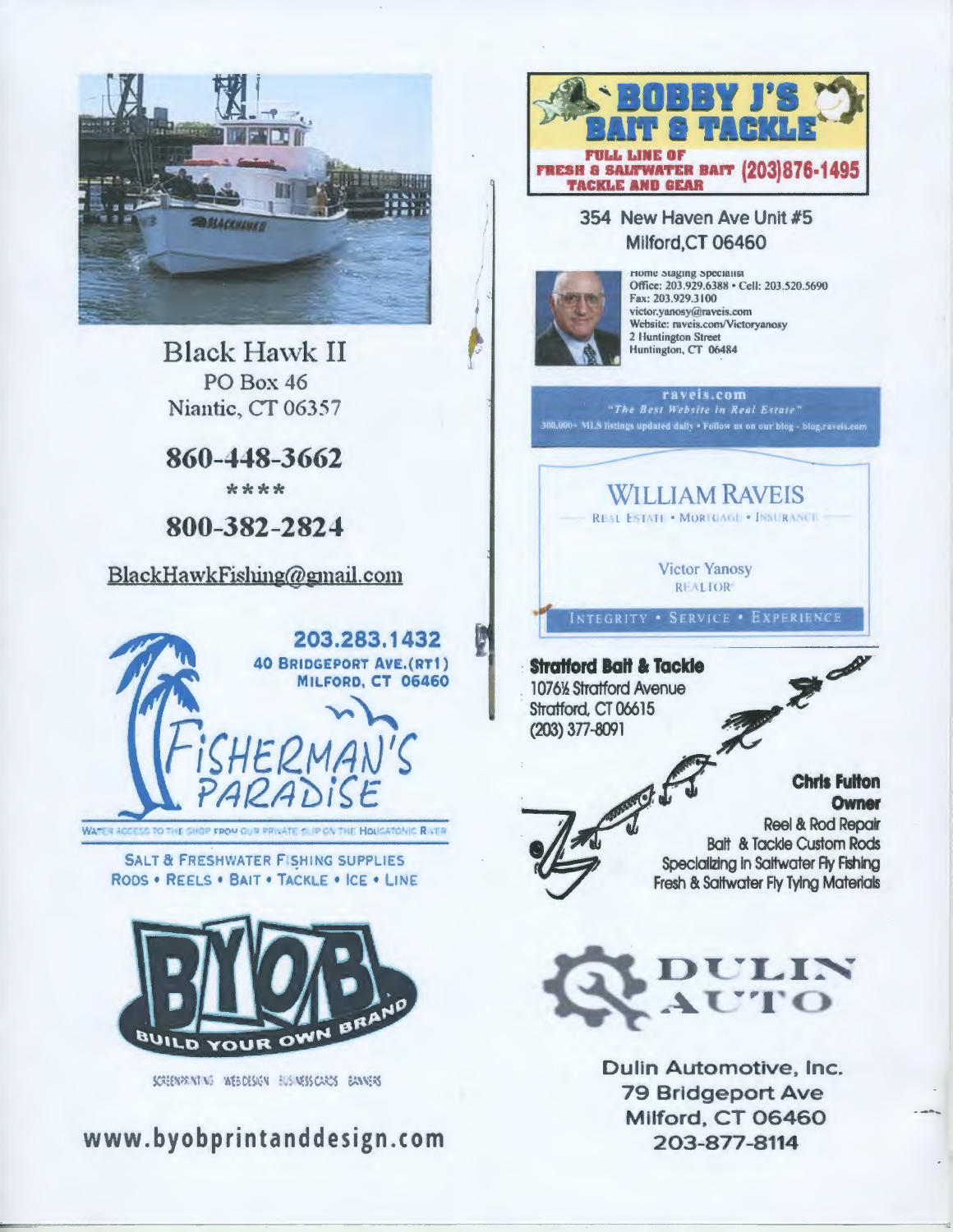

**Black Hawk II** PO Box 46 Niantic, CT 06357

860-448-3662

\*\*\*\*

800-382-2824

BlackHawkFishing@gmail.com



WATER ACCESS TO THE SHOP FROM OUR PRIVATE SLIP ON THE HOUSATONIC RIVER

**SALT & FRESHWATER FISHING SUPPLIES** RODS . REELS . BAIT . TACKLE . ICE . LINE



KRENAND WEICHEN BUNSICKS BANK

www.byobprintanddesign.com



#### 354 New Haven Ave Unit #5 Milford.CT 06460



riome Staging Specialist<br>Office: 203.929.6388 • Cell: 203.520.5690 Fax: 203.929.3100 victor.yanosy@raveis.com Website: raveis.com/Victoryanosy 2 Huntington Street Huntington, CT 06484

#### raveis.com "The Best Website in Real Estate" 300,000+ MLS listings updated daily . Follow us on our blog - blog.raveis.con

**WILLIAM RAVEIS REAL ESTATE . MORTGAGE . INSURANCE -**

> **Victor Yanosy REALTOR**

INTEGRITY . SERVICE . EXPERIENCE

**Stratford Balt & Tackle** 1076% Stratford Avenue Stratford, CT 06615  $(203)$  377-8091





**Chris Fulton Owner** 

**Reel & Rod Repair Balt & Tackle Custom Rods** Specializing in Saitwater Fly Fishing Fresh & Saltwater Fly Tying Materials



Dulin Automotive, Inc. 79 Bridgeport Ave Milford, CT 06460 203-877-8114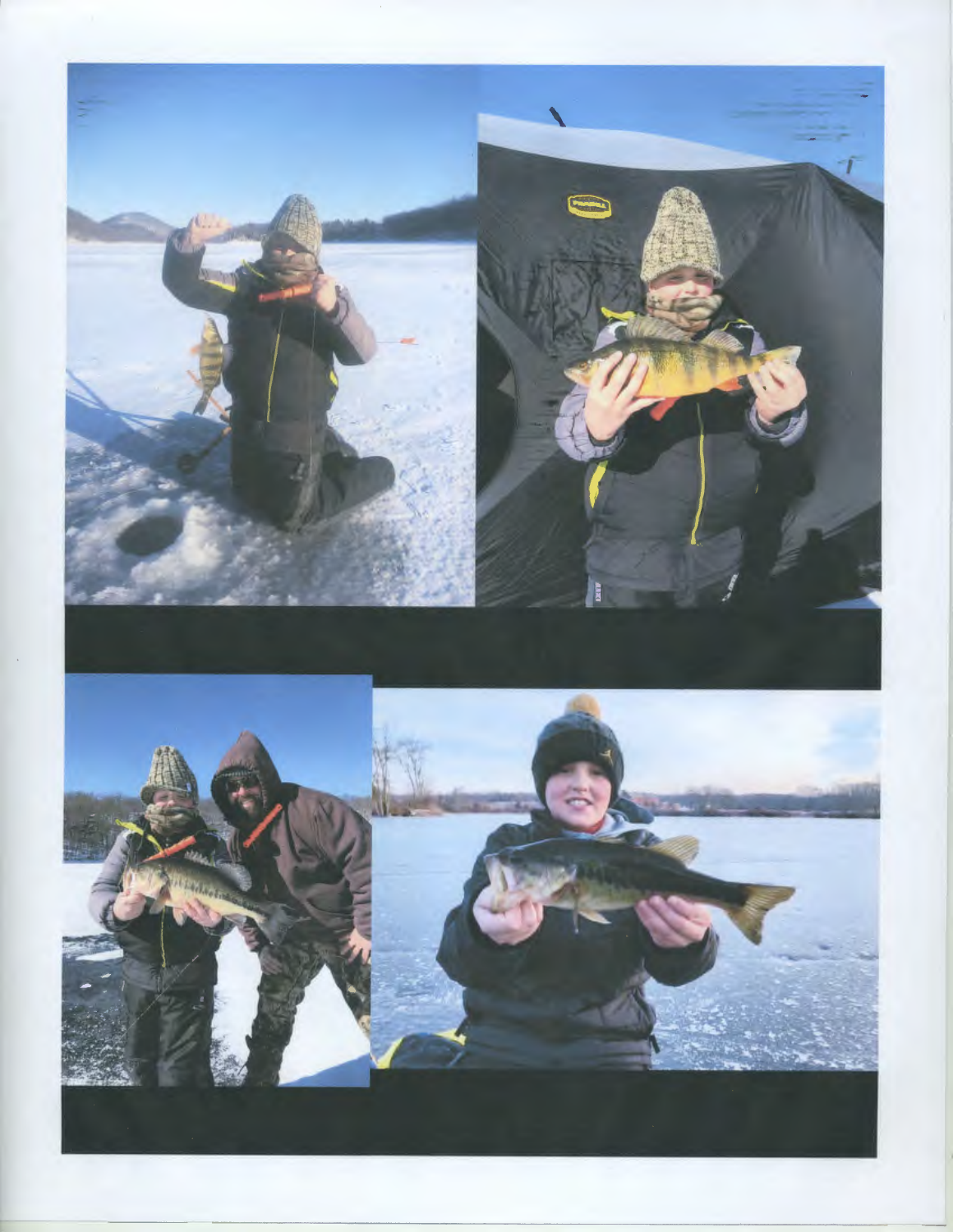